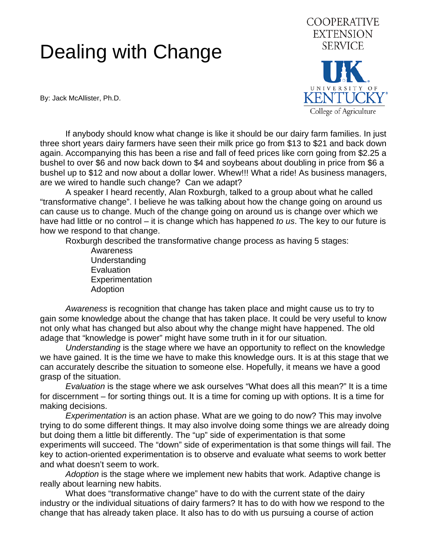## Dealing with Change

**EXTENSION SERVICE** UNIVERSITY OF **KENTUCKY** College of Agriculture

**COOPERATIVE** 

By: Jack McAllister, Ph.D.

 If anybody should know what change is like it should be our dairy farm families. In just three short years dairy farmers have seen their milk price go from \$13 to \$21 and back down again. Accompanying this has been a rise and fall of feed prices like corn going from \$2.25 a bushel to over \$6 and now back down to \$4 and soybeans about doubling in price from \$6 a bushel up to \$12 and now about a dollar lower. Whew!!! What a ride! As business managers, are we wired to handle such change? Can we adapt?

 A speaker I heard recently, Alan Roxburgh, talked to a group about what he called "transformative change". I believe he was talking about how the change going on around us can cause us to change. Much of the change going on around us is change over which we have had little or no control – it is change which has happened *to us*. The key to our future is how we respond to that change.

Roxburgh described the transformative change process as having 5 stages:

Awareness Understanding **Evaluation Experimentation** Adoption

 *Awareness* is recognition that change has taken place and might cause us to try to gain some knowledge about the change that has taken place. It could be very useful to know not only what has changed but also about why the change might have happened. The old adage that "knowledge is power" might have some truth in it for our situation.

 *Understanding* is the stage where we have an opportunity to reflect on the knowledge we have gained. It is the time we have to make this knowledge ours. It is at this stage that we can accurately describe the situation to someone else. Hopefully, it means we have a good grasp of the situation.

 *Evaluation* is the stage where we ask ourselves "What does all this mean?" It is a time for discernment – for sorting things out. It is a time for coming up with options. It is a time for making decisions.

 *Experimentation* is an action phase. What are we going to do now? This may involve trying to do some different things. It may also involve doing some things we are already doing but doing them a little bit differently. The "up" side of experimentation is that some experiments will succeed. The "down" side of experimentation is that some things will fail. The key to action-oriented experimentation is to observe and evaluate what seems to work better and what doesn't seem to work.

 *Adoption* is the stage where we implement new habits that work. Adaptive change is really about learning new habits.

 What does "transformative change" have to do with the current state of the dairy industry or the individual situations of dairy farmers? It has to do with how we respond to the change that has already taken place. It also has to do with us pursuing a course of action